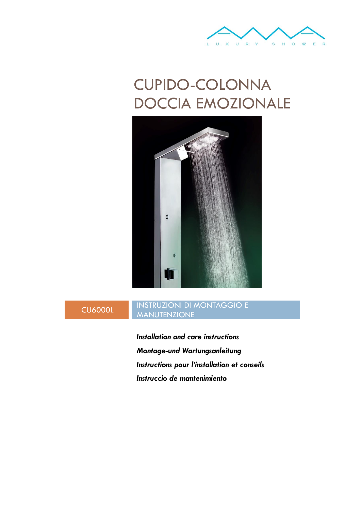

# CUPIDO-COLONNA DOCCIA EMOZIONALE



## CU6000L INSTRUZIONI DI MONTAGGIO E **MANUTENZIONE**

*Installation and care instructions Montage-und Wartungsanleitung Instructions pour l'installation et conseils Instruccio de mantenimiento*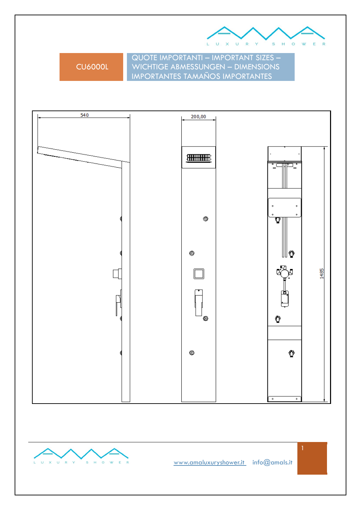QUOTE IMPORTANTI – IMPORTANT SIZES – WICHTIGE ABMESSUNGEN – DIMENSIONS IMPORTANTES TAMAÑOS IMPORTANTES

L U X

U R Y

S H O W E R



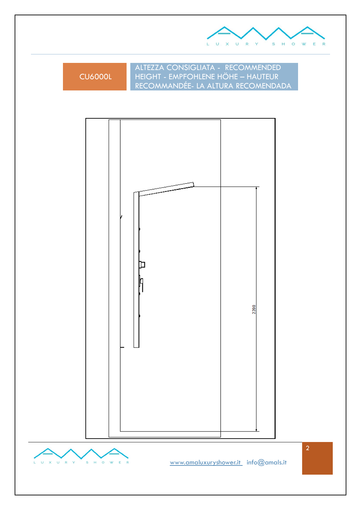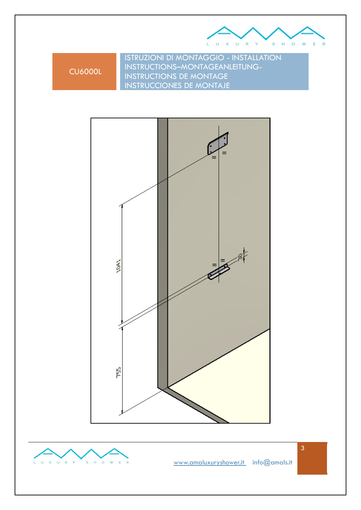

ISTRUZIONI DI MONTAGGIO - INSTALLATION INSTRUCTIONS–MONTAGEANLEITUNG-INSTRUCTIONS DE MONTAGE INSTRUCCIONES DE MONTAJE





[www.amaluxuryshower.](http://www.amaluxurishower/)it info@amals.it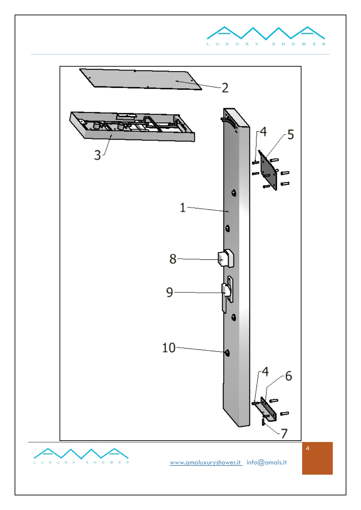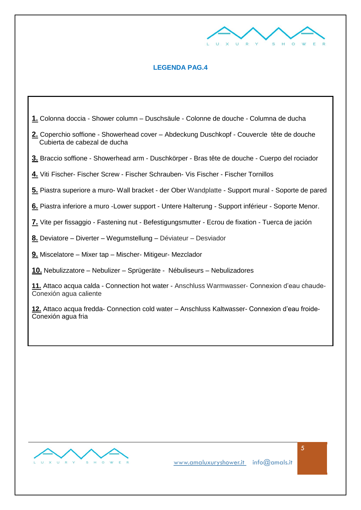

### **LEGENDA PAG.4**

- **1.** Colonna doccia Shower column Duschsäule Colonne de douche *-* Columna de ducha
- **2.** Coperchio soffione Showerhead cover Abdeckung Duschkopf Couvercle tête de douche Cubierta de cabezal de ducha
- **3.** Braccio soffione Showerhead arm Duschkörper Bras tête de douche Cuerpo del rociador
- **4.** Viti Fischer- Fischer Screw Fischer Schrauben- Vis Fischer Fischer Tornillos
- **5.** Piastra superiore a muro- Wall bracket der Ober Wandplatte Support mural Soporte de pared
- **6.** Piastra inferiore a muro -Lower support Untere Halterung Support inférieur Soporte Menor.
- **7.** Vite per fissaggio Fastening nut Befestigungsmutter Ecrou de fixation Tuerca de jación
- **8.** Deviatore Diverter Wegumstellung Déviateur Desviador
- **9.** Miscelatore Mixer tap Mischer- Mitigeur- Mezclador
- **10.** Nebulizzatore Nebulizer Sprügeräte Nébuliseurs Nebulizadores
- **11.** Attaco acqua calda Connection hot water Anschluss Warmwasser- Connexion d'eau chaude-Conexión agua caliente
- **12.** Attaco acqua fredda- Connection cold water Anschluss Kaltwasser- Connexion d'eau froide-Conexión agua fria

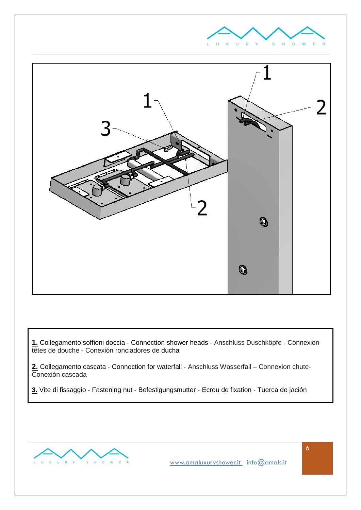



**1.** Collegamento soffioni doccia - Connection shower heads - Anschluss Duschköpfe - Connexion têtes de douche - Conexión ronciadores de ducha

**2.** Collegamento cascata - Connection for waterfall - Anschluss Wasserfall – Connexion chute-Conexión cascada

**3.** Vite di fissaggio - Fastening nut - Befestigungsmutter - Ecrou de fixation - Tuerca de jación

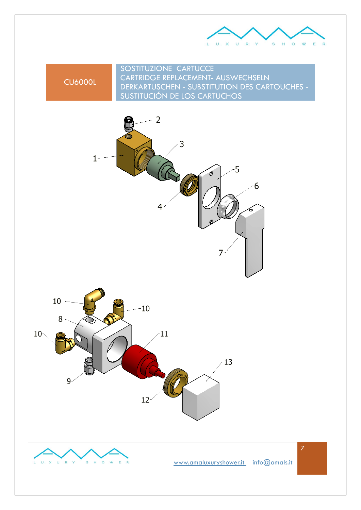



SOSTITUZIONE CARTUCCE CARTRIDGE REPLACEMENT- AUSWECHSELN DERKARTUSCHEN - SUBSTITUTION DES CARTOUCHES - SUSTITUCIÓN DE LOS CARTUCHOS







[www.amaluxuryshower.](http://www.amaluxurishower/)it info@amals.it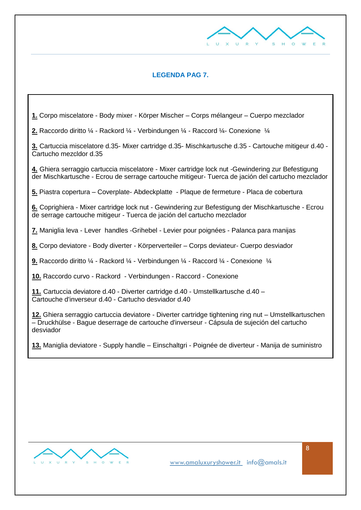

### **LEGENDA PAG 7.**

**1.** Corpo miscelatore - Body mixer - Körper Mischer – Corps mélangeur – Cuerpo mezclador

**2.** Raccordo diritto ¼ - Rackord ¼ - Verbindungen ¼ - Raccord ¼- Conexione ¼

**3.** Cartuccia miscelatore d.35- Mixer cartridge d.35- Mischkartusche d.35 - Cartouche mitigeur d.40 - Cartucho mezcldor d.35

**4.** Ghiera serraggio cartuccia miscelatore - Mixer cartridge lock nut -Gewindering zur Befestigung der Mischkartusche - Ecrou de serrage cartouche mitigeur- Tuerca de jación del cartucho mezclador

**5.** Piastra copertura – Coverplate- Abdeckplatte - Plaque de fermeture - Placa de cobertura

**6.** Coprighiera - Mixer cartridge lock nut - Gewindering zur Befestigung der Mischkartusche - Ecrou de serrage cartouche mitigeur - Tuerca de jación del cartucho mezclador

**7.** Maniglia leva - Lever handles -Grihebel - Levier pour poignées - Palanca para manijas

**8.** Corpo deviatore - Body diverter - Körperverteiler – Corps deviateur- Cuerpo desviador

**9.** Raccordo diritto ¼ - Rackord ¼ - Verbindungen ¼ - Raccord ¼ - Conexione ¼

**10.** Raccordo curvo - Rackord - Verbindungen - Raccord - Conexione

**11.** Cartuccia deviatore d.40 - Diverter cartridge d.40 - Umstellkartusche d.40 – Cartouche d'inverseur d.40 - Cartucho desviador d.40

**12.** Ghiera serraggio cartuccia deviatore - Diverter cartridge tightening ring nut – Umstellkartuschen – Druckhülse - Bague deserrage de cartouche d'inverseur - Cápsula de sujeción del cartucho desviador

**13.** Maniglia deviatore - Supply handle – Einschaltgri - Poignée de diverteur - Manija de suministro

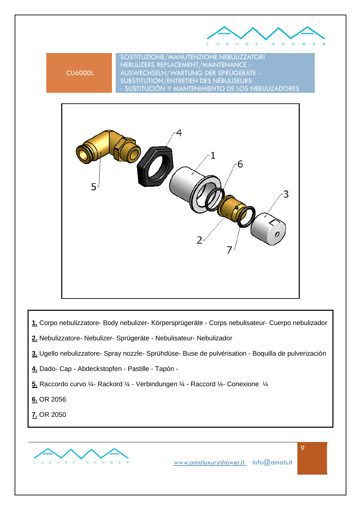

SOSTITUZIONE/MANUTENZIONE NEBULIZZATORI NEBULIZERS REPLACEMENT/MAINTENANCE - AUSWECHSELN/WARTUNG DER SPRÜGERÄTE - SUBSTITUTION/ENTRETIEN DES NÉBULISEURS - SUSTITUCIÓN Y MANTENIMIENTO DE LOS NEBULIZADORES





- **1.** Corpo nebulizzatore- Body nebulizer- Körpersprügeräte Corps nebulisateur- Cuerpo nebulizador
- **2.** Nebulizzatore- Nebulizer- Sprügeräte Nebulisateur- Nebulizador
- **3.** Ugello nebulizzatore- Spray nozzle- Sprühdüse- Buse de pulvérisation Boquilla de pulverización
- **4.** Dado- Cap Abdeckstopfen Pastille Tapón -
- **5.** Raccordo curvo ¼- Rackord ¼ Verbindungen ¼ Raccord ¼- Conexione ¼
- **6.** OR 2056
- **7.** OR 2050

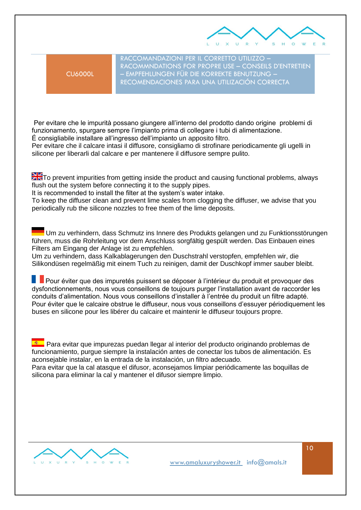

RACCOMANDAZIONI PER IL CORRETTO UTILIZZO – RACOMMNDATIONS FOR PROPRE USE – CONSEILS D'ENTRETIEN – EMPFEHLUNGEN FÜR DIE KORREKTE BENUTZUNG – RECOMENDACIONES PARA UNA UTILIZACIÓN CORRECTA

Per evitare che le impurità possano giungere all'interno del prodotto dando origine problemi di funzionamento, spurgare sempre l'impianto prima di collegare i tubi di alimentazione. É consigliabile installare all'ingresso dell'impianto un apposito filtro.

Per evitare che il calcare intasi il diffusore, consigliamo di strofinare periodicamente gli ugelli in silicone per liberarli dal calcare e per mantenere il diffusore sempre pulito.

**The T**o prevent impurities from getting inside the product and causing functional problems, always flush out the system before connecting it to the supply pipes.

It is recommended to install the filter at the system's water intake.

To keep the diffuser clean and prevent lime scales from clogging the diffuser, we advise that you periodically rub the silicone nozzles to free them of the lime deposits.

Um zu verhindern, dass Schmutz ins Innere des Produkts gelangen und zu Funktionsstörungen führen, muss die Rohrleitung vor dem Anschluss sorgfältig gespült werden. Das Einbauen eines Filters am Eingang der Anlage ist zu empfehlen.

Um zu verhindern, dass Kalkablagerungen den Duschstrahl verstopfen, empfehlen wir, die Silikondüsen regelmäßig mit einem Tuch zu reinigen, damit der Duschkopf immer sauber bleibt.

Pour éviter que des impuretés puissent se déposer à l'intérieur du produit et provoquer des dysfonctionnements, nous vous conseillons de toujours purger l'installation avant de raccorder les conduits d'alimentation. Nous vous conseillons d'installer à l'entrée du produit un filtre adapté. Pour éviter que le calcaire obstrue le diffuseur, nous vous conseillons d'essuyer périodiquement les buses en silicone pour les libérer du calcaire et maintenir le diffuseur toujours propre.

**Para evitar que impurezas puedan llegar al interior del producto originando problemas de** funcionamiento, purgue siempre la instalación antes de conectar los tubos de alimentación. Es aconsejable instalar, en la entrada de la instalación, un filtro adecuado. Para evitar que la cal atasque el difusor, aconsejamos limpiar periódicamente las boquillas de silicona para eliminar la cal y mantener el difusor siempre limpio.

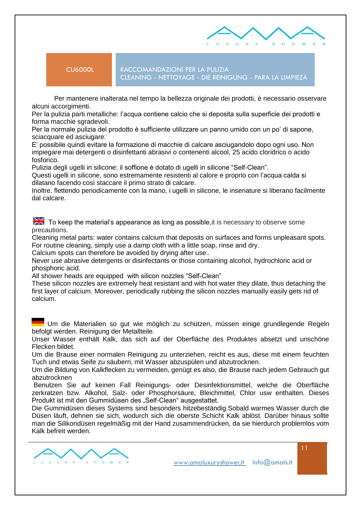

CU6000L RACCOMANDAZIONI PER LA PULIZIA CLEANING - NETTOYAGE - DIE REINIGUNG - PARA LA LIMPIEZA

 Per mantenere inalterata nel tempo la bellezza originale dei prodotti, è necessario osservare alcuni accorgimenti.

Per la pulizia parti metalliche: l'acqua contiene calcio che si deposita sulla superficie dei prodotti e forma macchie sgradevoli.

Per la normale pulizia del prodotto è sufficiente utilizzare un panno umido con un po' di sapone, sciacquare ed asciugare.

E' possibile quindi evitare la formazione di macchie di calcare asciugandolo dopo ogni uso. Non impiegare mai detergenti o disinfettanti abrasivi o contenenti alcool, 25 acido cloridrico o acido fosforico.

Pulizia degli ugelli in silicone: il soffione è dotato di ugelli in silicone "Self-Clean".

Questi ugelli in silicone, sono estremamente resistenti al calore e proprio con l'acqua calda si dilatano facendo così staccare il primo strato di calcare.

Inoltre, flettendo periodicamente con la mano, i ugelli in silicone, le insenature si liberano facilmente dal calcare.

 $\frac{N}{4N}$  To keep the material's appearance as long as possible, it is necessary to observe some precautions.

Cleaning metal parts: water contains calcium that deposits on surfaces and forms unpleasant spots. For routine cleaning, simply use a damp cloth with a little soap, rinse and dry.

Calcium spots can therefore be avoided by drying after use..

Never use abrasive detergents or disinfectants or those containing alcohol, hydrochloric acid or phosphoric acid.

All shower heads are equipped with silicon nozzles "Self-Clean"

These silicon nozzles are extremely heat resistant and with hot water they dilate, thus detaching the first layer of calcium. Moreover, periodically rubbing the silicon nozzles manually easily gets rid of calcium.

Um die Materialien so gut wie möglich zu schützen, müssen einige grundlegende Regeln befolgt werden. Reinigung der Metallteile.

Unser Wasser enthält Kalk, das sich auf der Oberfläche des Produktes absetzt und unschöne Flecken bildet.

Um die Brause einer normalen Reinigung zu unterziehen, reicht es aus, diese mit einem feuchten Tuch und etwas Seife zu säubern, mit Wasser abzuspülen und abzutrocknen.

Um die Bildung von Kalkflecken zu vermeiden, genügt es also, die Brause nach jedem Gebrauch gut abzutrocknen

Benutzen Sie auf keinen Fall Reinigungs- oder Desinfektionsmittel, welche die Oberfläche zerkratzen bzw. Alkohol, Salz- oder Phosphorsäure, Bleichmittel, Chlor usw enthalten. Dieses Produkt ist mit den Gummidüsen des "Self-Clean" ausgestattet.

Die Gummidüsen dieses Systems sind besonders hitzebeständig.Sobald warmes Wasser durch die Düsen läuft, dehnen sie sich, wodurch sich die oberste Schicht Kalk ablöst. Darüber hinaus sollte man die Silikondüsen regelmäßig mit der Hand zusammendrücken, da sie hierdurch problemlos vom Kalk befreit werden.

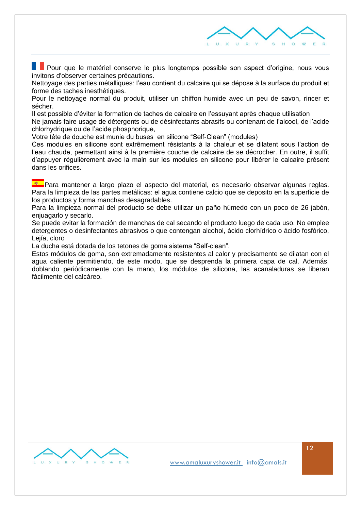**Pour que le matériel conserve le plus longtemps possible son aspect d'origine, nous vous** invitons d'observer certaines précautions.

Nettoyage des parties métalliques: l'eau contient du calcaire qui se dépose à la surface du produit et forme des taches inesthétiques.

Pour le nettoyage normal du produit, utiliser un chiffon humide avec un peu de savon, rincer et sécher.

Il est possible d'éviter la formation de taches de calcaire en l'essuyant après chaque utilisation

Ne jamais faire usage de détergents ou de désinfectants abrasifs ou contenant de l'alcool, de l'acide chlorhydrique ou de l'acide phosphorique,

Votre tête de douche est munie du buses en silicone "Self-Clean" (modules)

Ces modules en silicone sont extrêmement résistants à la chaleur et se dilatent sous l'action de l'eau chaude, permettant ainsi à la première couche de calcaire de se décrocher. En outre, il suffit d'appuyer régulièrement avec la main sur les modules en silicone pour libérer le calcaire présent dans les orifices.

**\*** Para mantener a largo plazo el aspecto del material, es necesario observar algunas reglas. Para la limpieza de las partes metálicas: el agua contiene calcio que se deposito en la superficie de los productos y forma manchas desagradables.

Para la limpieza normal del producto se debe utilizar un paño húmedo con un poco de 26 jabón, enjuagarlo y secarlo.

Se puede evitar la formación de manchas de cal secando el producto luego de cada uso. No emplee detergentes o desinfectantes abrasivos o que contengan alcohol, ácido clorhídrico o ácido fosfórico, Lejía, cloro

La ducha está dotada de los tetones de goma sistema "Self-clean".

Estos módulos de goma, son extremadamente resistentes al calor y precisamente se dilatan con el agua caliente permitiendo, de este modo, que se desprenda la primera capa de cal. Además, doblando periódicamente con la mano, los módulos de silicona, las acanaladuras se liberan fácilmente del calcáreo.



 $\circ$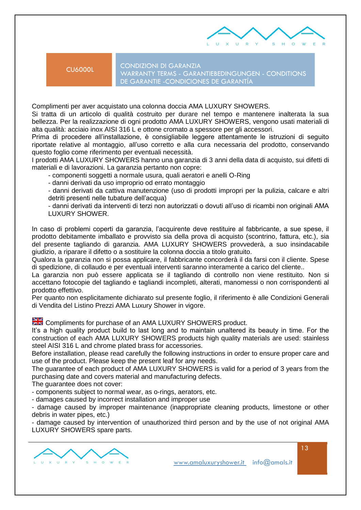

CU6000L CONDIZIONI DI GARANZIA WARRANTY TERMS - GARANTIEBEDINGUNGEN - CONDITIONS DE GARANTIE -CONDICIONES DE GARANTÍA

Complimenti per aver acquistato una colonna doccia AMA LUXURY SHOWERS.

Si tratta di un articolo di qualità costruito per durare nel tempo e mantenere inalterata la sua bellezza. Per la realizzazione di ogni prodotto AMA LUXURY SHOWERS, vengono usati materiali di alta qualità: acciaio inox AISI 316 L e ottone cromato a spessore per gli accessori.

Prima di procedere all'installazione, è consigliabile leggere attentamente le istruzioni di seguito riportate relative al montaggio, all'uso corretto e alla cura necessaria del prodotto, conservando questo foglio come riferimento per eventuali necessità.

I prodotti AMA LUXURY SHOWERS hanno una garanzia di 3 anni della data di acquisto, sui difetti di materiali e di lavorazioni. La garanzia pertanto non copre:

- componenti soggetti a normale usura, quali aeratori e anelli O-Ring

- danni derivati da uso improprio od errato montaggio

- danni derivati da cattiva manutenzione (uso di prodotti impropri per la pulizia, calcare e altri detriti presenti nelle tubature dell'acqua)

- danni derivati da interventi di terzi non autorizzati o dovuti all'uso di ricambi non originali AMA LUXURY SHOWER.

In caso di problemi coperti da garanzia, l'acquirente deve restituire al fabbricante, a sue spese, il prodotto debitamente imballato e provvisto sia della prova di acquisto (scontrino, fattura, etc.), sia del presente tagliando di garanzia. AMA LUXURY SHOWERS provvederà, a suo insindacabile giudizio, a riparare il difetto o a sostituire la colonna doccia a titolo gratuito.

Qualora la garanzia non si possa applicare, il fabbricante concorderà il da farsi con il cliente. Spese di spedizione, di collaudo e per eventuali interventi saranno interamente a carico del cliente..

La garanzia non può essere applicata se il tagliando di controllo non viene restituito. Non si accettano fotocopie del tagliando e tagliandi incompleti, alterati, manomessi o non corrispondenti al prodotto effettivo.

Per quanto non esplicitamente dichiarato sul presente foglio, il riferimento è alle Condizioni Generali di Vendita del Listino Prezzi AMA Luxury Shower in vigore.

**EX** Compliments for purchase of an AMA LUXURY SHOWERS product.

It's a high quality product build to last long and to maintain unaltered its beauty in time. For the construction of each AMA LUXURY SHOWERS products high quality materials are used: stainless steel AISI 316 L and chrome plated brass for accessories.

Before installation, please read carefully the following instructions in order to ensure proper care and use of the product. Please keep the present leaf for any needs.

The guarantee of each product of AMA LUXURY SHOWERS is valid for a period of 3 years from the purchasing date and covers material and manufacturing defects.

The quarantee does not cover:

- components subject to normal wear, as o-rings, aerators, etc.

- damages caused by incorrect installation and improper use

- damage caused by improper maintenance (inappropriate cleaning products, limestone or other debris in water pipes, etc.)

- damage caused by intervention of unauthorized third person and by the use of not original AMA LUXURY SHOWERS spare parts.



13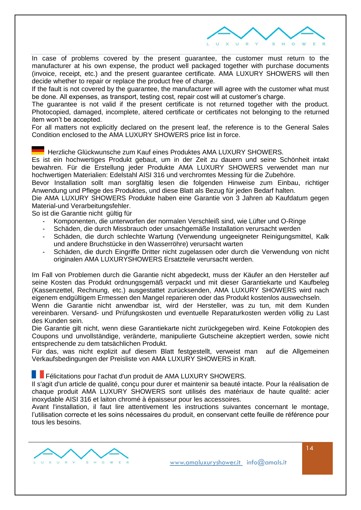

In case of problems covered by the present guarantee, the customer must return to the manufacturer at his own expense, the product well packaged together with purchase documents (invoice, receipt, etc.) and the present guarantee certificate. AMA LUXURY SHOWERS will then decide whether to repair or replace the product free of charge.

If the fault is not covered by the guarantee, the manufacturer will agree with the customer what must be done. All expenses, as transport, testing cost, repair cost will at customer's charge.

The guarantee is not valid if the present certificate is not returned together with the product. Photocopied, damaged, incomplete, altered certificate or certificates not belonging to the returned item won't be accepted.

For all matters not explicitly declared on the present leaf, the reference is to the General Sales Condition enclosed to the AMA LUXURY SHOWERS price list in force.

Herzliche Glückwunsche zum Kauf eines Produktes AMA LUXURY SHOWERS.

Es ist ein hochwertiges Produkt gebaut, um in der Zeit zu dauern und seine Schönheit intakt bewahren. Für die Erstellung jeder Produkte AMA LUXURY SHOWERS verwendet man nur hochwertigen Materialien: Edelstahl AISI 316 und verchromtes Messing für die Zubehöre.

Bevor Installation sollt man sorgfältig lesen die folgenden Hinweise zum Einbau, richtiger Anwendung und Pflege des Produktes, und diese Blatt als Bezug für jeden Bedarf halten.

Die AMA LUXURY SHOWERS Produkte haben eine Garantie von 3 Jahren ab Kaufdatum gegen Material-und Verarbeitungsfehler.

So ist die Garantie nicht gültig für

- Komponenten, die unterworfen der normalen Verschleiß sind, wie Lüfter und O-Ringe
- Schäden, die durch Missbrauch oder unsachgemäße Installation verursacht werden
- Schäden, die durch schlechte Wartung (Verwendung ungeeigneter Reinigungsmittel, Kalk und andere Bruchstücke in den Wasserröhre) verursacht warten
- Schäden, die durch Eingriffe Dritter nicht zugelassen oder durch die Verwendung von nicht originalen AMA LUXURYSHOWERS Ersatzteile verursacht werden.

Im Fall von Problemen durch die Garantie nicht abgedeckt, muss der Käufer an den Hersteller auf seine Kosten das Produkt ordnungsgemäß verpackt und mit dieser Garantiekarte und Kaufbeleg (Kassenzettel, Rechnung, etc.) ausgestattet zurücksenden, AMA LUXURY SHOWERS wird nach eigenem endgültigem Ermessen den Mangel reparieren oder das Produkt kostenlos auswechseln.

Wenn die Garantie nicht anwendbar ist, wird der Hersteller, was zu tun, mit dem Kunden vereinbaren. Versand- und Prüfungskosten und eventuelle Reparaturkosten werden völlig zu Last des Kunden sein.

Die Garantie gilt nicht, wenn diese Garantiekarte nicht zurückgegeben wird. Keine Fotokopien des Coupons und unvollständige, veränderte, manipulierte Gutscheine akzeptiert werden, sowie nicht entsprechende zu dem tatsächlichen Produkt.

Für das, was nicht explizit auf diesem Blatt festgestellt, verweist man auf die Allgemeinen Verkaufsbedingungen der Preisliste von AMA LUXURY SHOWERS in Kraft.

Félicitations pour l'achat d'un produit de AMA LUXURY SHOWERS.

Il s'agit d'un article de qualité, conçu pour durer et maintenir sa beauté intacte. Pour la réalisation de chaque produit AMA LUXURY SHOWERS sont utilisés des matériaux de haute qualité: acier inoxydable AISI 316 et laiton chromé à épaisseur pour les accessoires.

Avant l'installation, il faut lire attentivement les instructions suivantes concernant le montage, l'utilisation correcte et les soins nécessaires du produit, en conservant cette feuille de référence pour tous les besoins.